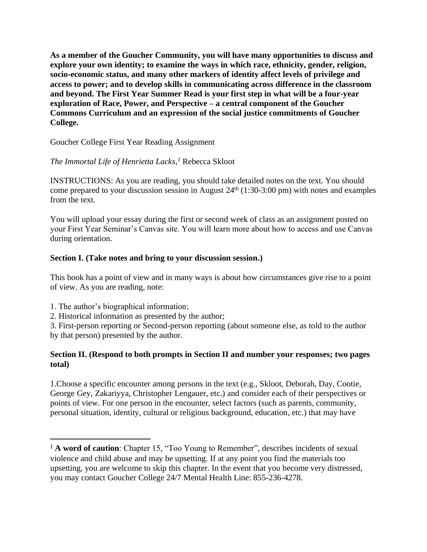**As a member of the Goucher Community, you will have many opportunities to discuss and explore your own identity; to examine the ways in which race, ethnicity, gender, religion, socio-economic status, and many other markers of identity affect levels of privilege and access to power; and to develop skills in communicating across difference in the classroom and beyond. The First Year Summer Read is your first step in what will be a four-year exploration of Race, Power, and Perspective – a central component of the Goucher Commons Curriculum and an expression of the social justice commitments of Goucher College.** 

Goucher College First Year Reading Assignment

## *The Immortal Life of Henrietta Lacks, <sup>1</sup>* Rebecca Skloot

INSTRUCTIONS: As you are reading, you should take detailed notes on the text. You should come prepared to your discussion session in August  $24<sup>th</sup>$  (1:30-3:00 pm) with notes and examples from the text.

You will upload your essay during the first or second week of class as an assignment posted on your First Year Seminar's Canvas site. You will learn more about how to access and use Canvas during orientation.

## **Section I. (Take notes and bring to your discussion session.)**

This book has a point of view and in many ways is about how circumstances give rise to a point of view. As you are reading, note:

- 1. The author's biographical information;
- 2. Historical information as presented by the author;

3. First-person reporting or Second-person reporting (about someone else, as told to the author by that person) presented by the author.

## **Section II. (Respond to both prompts in Section II and number your responses; two pages total)**

1.Choose a specific encounter among persons in the text (e.g., Skloot, Deborah, Day, Cootie, George Gey, Zakariyya, Christopher Lengauer, etc.) and consider each of their perspectives or points of view. For one person in the encounter, select factors (such as parents, community, personal situation, identity, cultural or religious background, education, etc.) that may have

<sup>&</sup>lt;sup>1</sup> **A word of caution**: Chapter 15, "Too Young to Remember", describes incidents of sexual violence and child abuse and may be upsetting. If at any point you find the materials too upsetting, you are welcome to skip this chapter. In the event that you become very distressed, you may contact Goucher College 24/7 Mental Health Line: 855-236-4278.